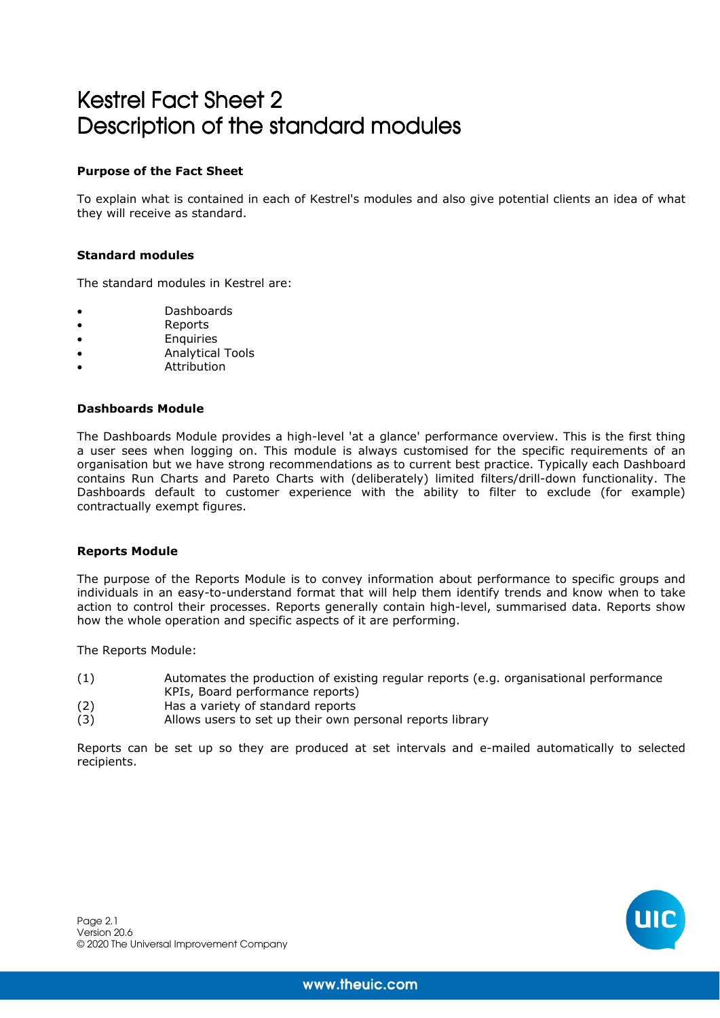# Kestrel Fact Sheet 2 Description of the standard modules

## **Purpose of the Fact Sheet**

To explain what is contained in each of Kestrel's modules and also give potential clients an idea of what they will receive as standard.

## **Standard modules**

The standard modules in Kestrel are:

- Dashboards
- Reports
- **Enquiries**
- Analytical Tools
- **Attribution**

## **Dashboards Module**

The Dashboards Module provides a high-level 'at a glance' performance overview. This is the first thing a user sees when logging on. This module is always customised for the specific requirements of an organisation but we have strong recommendations as to current best practice. Typically each Dashboard contains Run Charts and Pareto Charts with (deliberately) limited filters/drill-down functionality. The Dashboards default to customer experience with the ability to filter to exclude (for example) contractually exempt figures.

#### **Reports Module**

The purpose of the Reports Module is to convey information about performance to specific groups and individuals in an easy-to-understand format that will help them identify trends and know when to take action to control their processes. Reports generally contain high-level, summarised data. Reports show how the whole operation and specific aspects of it are performing.

The Reports Module:

- (1) Automates the production of existing regular reports (e.g. organisational performance KPIs, Board performance reports)
- (2) Has a variety of standard reports
- (3) Allows users to set up their own personal reports library

Reports can be set up so they are produced at set intervals and e-mailed automatically to selected recipients.